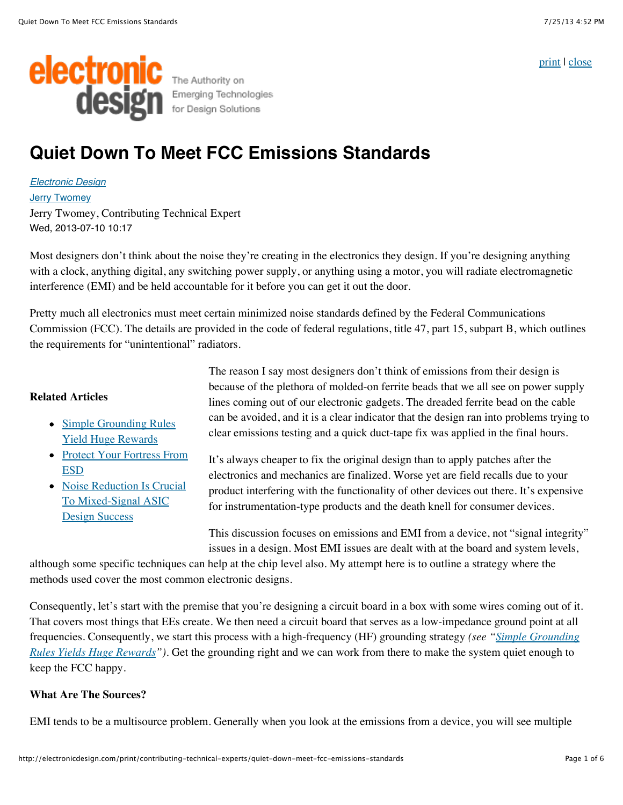[print](javascript:window.print();) | [close](javascript:window.close())



# **Quiet Down To Meet FCC Emissions Standards**

*[Electronic Design](http://electronicdesign.com/electronic-design-0)* [Jerry Twomey](http://electronicdesign.com/author/jerry-twomey) Jerry Twomey, Contributing Technical Expert Wed, 2013-07-10 10:17

Most designers don't think about the noise they're creating in the electronics they design. If you're designing anything with a clock, anything digital, any switching power supply, or anything using a motor, you will radiate electromagnetic interference (EMI) and be held accountable for it before you can get it out the door.

Pretty much all electronics must meet certain minimized noise standards defined by the Federal Communications Commission (FCC). The details are provided in the code of federal regulations, title 47, part 15, subpart B, which outlines the requirements for "unintentional" radiators.

## **Related Articles**

- [Simple Grounding Rules](http://electronicdesign.com/boards/simple-grounding-rules-yield-huge-rewards) Yield Huge Rewards
- [Protect Your Fortress From](http://electronicdesign.com/power/protect-your-fortress-esd) ESD
- [Noise Reduction Is Crucial](http://electronicdesign.com/analog/noise-reduction-crucial-mixed-signal-asic-design-success) To Mixed-Signal ASIC Design Success

The reason I say most designers don't think of emissions from their design is because of the plethora of molded-on ferrite beads that we all see on power supply lines coming out of our electronic gadgets. The dreaded ferrite bead on the cable can be avoided, and it is a clear indicator that the design ran into problems trying to clear emissions testing and a quick duct-tape fix was applied in the final hours.

It's always cheaper to fix the original design than to apply patches after the electronics and mechanics are finalized. Worse yet are field recalls due to your product interfering with the functionality of other devices out there. It's expensive for instrumentation-type products and the death knell for consumer devices.

This discussion focuses on emissions and EMI from a device, not "signal integrity" issues in a design. Most EMI issues are dealt with at the board and system levels,

although some specific techniques can help at the chip level also. My attempt here is to outline a strategy where the methods used cover the most common electronic designs.

Consequently, let's start with the premise that you're designing a circuit board in a box with some wires coming out of it. That covers most things that EEs create. We then need a circuit board that serves as a low-impedance ground point at all [frequencies. Consequently, we start this process with a high-frequency \(HF\) grounding strategy](http://electronicdesign.com/boards/simple-grounding-rules-yield-huge-rewards) *(see "Simple Grounding Rules Yields Huge Rewards")*. Get the grounding right and we can work from there to make the system quiet enough to keep the FCC happy.

## **What Are The Sources?**

EMI tends to be a multisource problem. Generally when you look at the emissions from a device, you will see multiple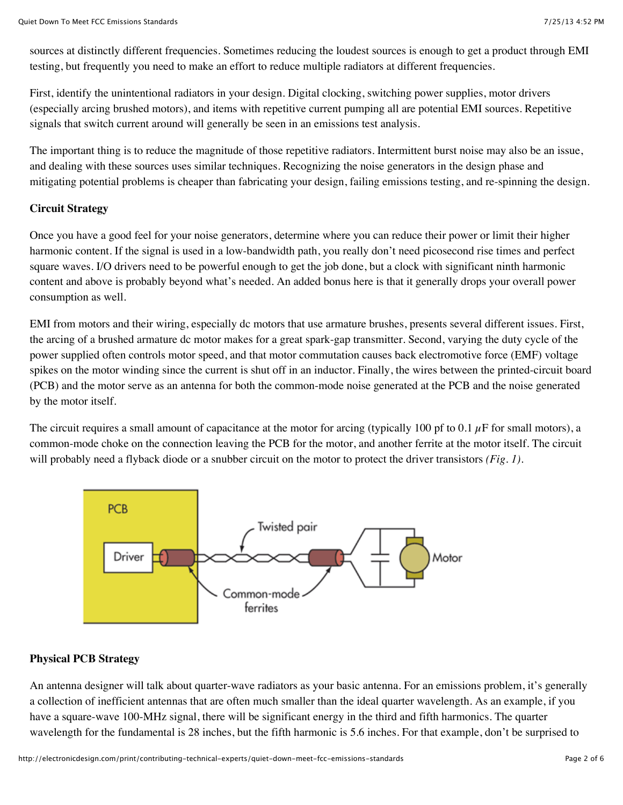sources at distinctly different frequencies. Sometimes reducing the loudest sources is enough to get a product through EMI testing, but frequently you need to make an effort to reduce multiple radiators at different frequencies.

First, identify the unintentional radiators in your design. Digital clocking, switching power supplies, motor drivers (especially arcing brushed motors), and items with repetitive current pumping all are potential EMI sources. Repetitive signals that switch current around will generally be seen in an emissions test analysis.

The important thing is to reduce the magnitude of those repetitive radiators. Intermittent burst noise may also be an issue, and dealing with these sources uses similar techniques. Recognizing the noise generators in the design phase and mitigating potential problems is cheaper than fabricating your design, failing emissions testing, and re-spinning the design.

#### **Circuit Strategy**

Once you have a good feel for your noise generators, determine where you can reduce their power or limit their higher harmonic content. If the signal is used in a low-bandwidth path, you really don't need picosecond rise times and perfect square waves. I/O drivers need to be powerful enough to get the job done, but a clock with significant ninth harmonic content and above is probably beyond what's needed. An added bonus here is that it generally drops your overall power consumption as well.

EMI from motors and their wiring, especially dc motors that use armature brushes, presents several different issues. First, the arcing of a brushed armature dc motor makes for a great spark-gap transmitter. Second, varying the duty cycle of the power supplied often controls motor speed, and that motor commutation causes back electromotive force (EMF) voltage spikes on the motor winding since the current is shut off in an inductor. Finally, the wires between the printed-circuit board (PCB) and the motor serve as an antenna for both the common-mode noise generated at the PCB and the noise generated by the motor itself.

The circuit requires a small amount of capacitance at the motor for arcing (typically 100 pf to 0.1  $\mu$ F for small motors), a common-mode choke on the connection leaving the PCB for the motor, and another ferrite at the motor itself. The circuit will probably need a flyback diode or a snubber circuit on the motor to protect the driver transistors *(Fig. 1)*.



## **Physical PCB Strategy**

An antenna designer will talk about quarter-wave radiators as your basic antenna. For an emissions problem, it's generally a collection of inefficient antennas that are often much smaller than the ideal quarter wavelength. As an example, if you have a square-wave 100-MHz signal, there will be significant energy in the third and fifth harmonics. The quarter wavelength for the fundamental is 28 inches, but the fifth harmonic is 5.6 inches. For that example, don't be surprised to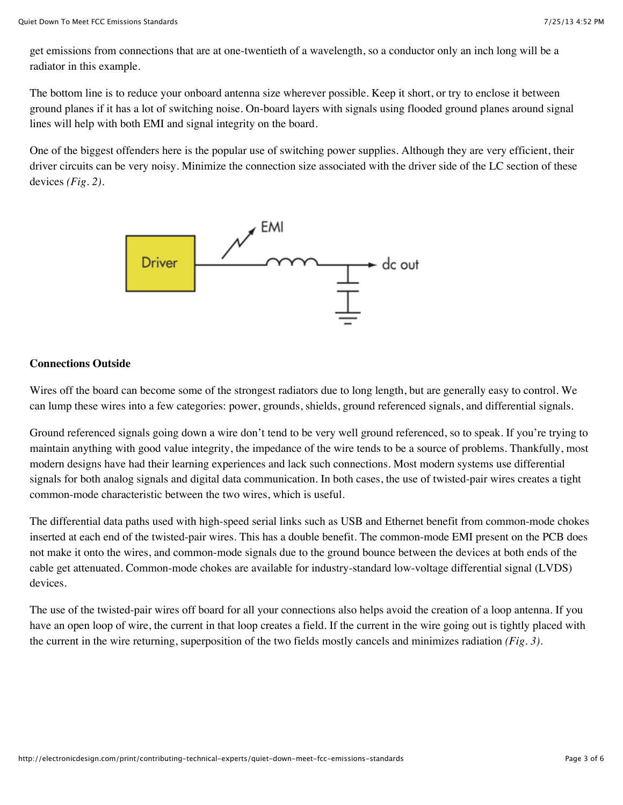get emissions from connections that are at one-twentieth of a wavelength, so a conductor only an inch long will be a radiator in this example.

The bottom line is to reduce your onboard antenna size wherever possible. Keep it short, or try to enclose it between ground planes if it has a lot of switching noise. On-board layers with signals using flooded ground planes around signal lines will help with both EMI and signal integrity on the board.

One of the biggest offenders here is the popular use of switching power supplies. Although they are very efficient, their driver circuits can be very noisy. Minimize the connection size associated with the driver side of the LC section of these devices *(Fig. 2)*.



## **Connections Outside**

Wires off the board can become some of the strongest radiators due to long length, but are generally easy to control. We can lump these wires into a few categories: power, grounds, shields, ground referenced signals, and differential signals.

Ground referenced signals going down a wire don't tend to be very well ground referenced, so to speak. If you're trying to maintain anything with good value integrity, the impedance of the wire tends to be a source of problems. Thankfully, most modern designs have had their learning experiences and lack such connections. Most modern systems use differential signals for both analog signals and digital data communication. In both cases, the use of twisted-pair wires creates a tight common-mode characteristic between the two wires, which is useful.

The differential data paths used with high-speed serial links such as USB and Ethernet benefit from common-mode chokes inserted at each end of the twisted-pair wires. This has a double benefit. The common-mode EMI present on the PCB does not make it onto the wires, and common-mode signals due to the ground bounce between the devices at both ends of the cable get attenuated. Common-mode chokes are available for industry-standard low-voltage differential signal (LVDS) devices.

The use of the twisted-pair wires off board for all your connections also helps avoid the creation of a loop antenna. If you have an open loop of wire, the current in that loop creates a field. If the current in the wire going out is tightly placed with the current in the wire returning, superposition of the two fields mostly cancels and minimizes radiation *(Fig. 3)*.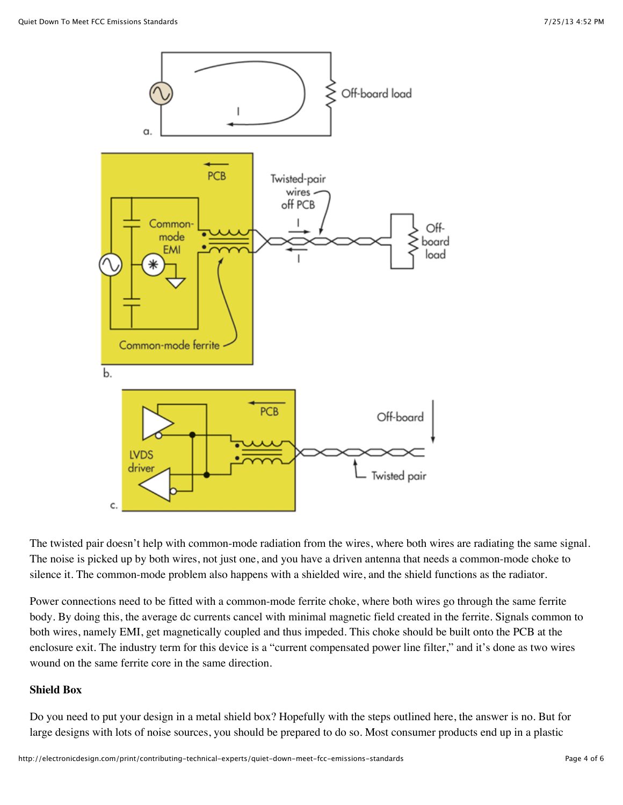

The twisted pair doesn't help with common-mode radiation from the wires, where both wires are radiating the same signal. The noise is picked up by both wires, not just one, and you have a driven antenna that needs a common-mode choke to silence it. The common-mode problem also happens with a shielded wire, and the shield functions as the radiator.

Power connections need to be fitted with a common-mode ferrite choke, where both wires go through the same ferrite body. By doing this, the average dc currents cancel with minimal magnetic field created in the ferrite. Signals common to both wires, namely EMI, get magnetically coupled and thus impeded. This choke should be built onto the PCB at the enclosure exit. The industry term for this device is a "current compensated power line filter," and it's done as two wires wound on the same ferrite core in the same direction.

#### **Shield Box**

Do you need to put your design in a metal shield box? Hopefully with the steps outlined here, the answer is no. But for large designs with lots of noise sources, you should be prepared to do so. Most consumer products end up in a plastic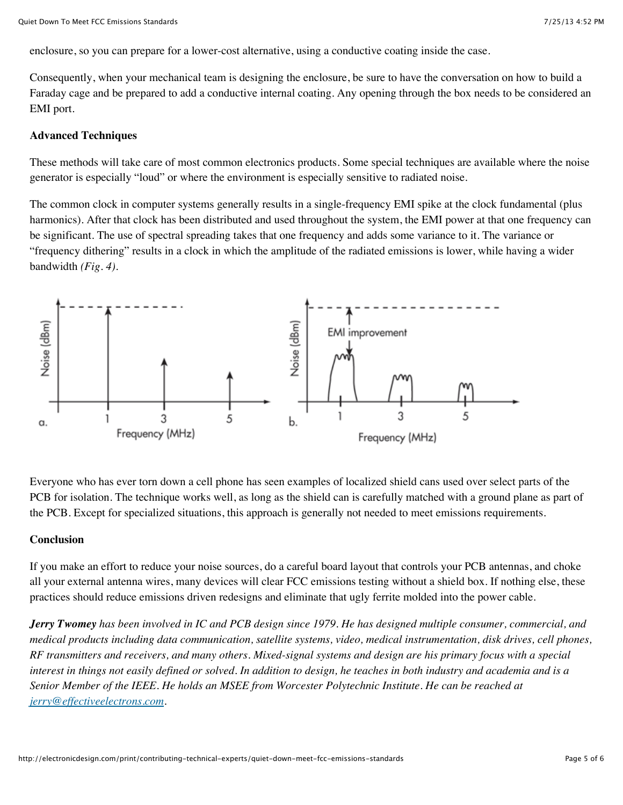enclosure, so you can prepare for a lower-cost alternative, using a conductive coating inside the case.

Consequently, when your mechanical team is designing the enclosure, be sure to have the conversation on how to build a Faraday cage and be prepared to add a conductive internal coating. Any opening through the box needs to be considered an EMI port.

#### **Advanced Techniques**

These methods will take care of most common electronics products. Some special techniques are available where the noise generator is especially "loud" or where the environment is especially sensitive to radiated noise.

The common clock in computer systems generally results in a single-frequency EMI spike at the clock fundamental (plus harmonics). After that clock has been distributed and used throughout the system, the EMI power at that one frequency can be significant. The use of spectral spreading takes that one frequency and adds some variance to it. The variance or "frequency dithering" results in a clock in which the amplitude of the radiated emissions is lower, while having a wider bandwidth *(Fig. 4)*.



Everyone who has ever torn down a cell phone has seen examples of localized shield cans used over select parts of the PCB for isolation. The technique works well, as long as the shield can is carefully matched with a ground plane as part of the PCB. Except for specialized situations, this approach is generally not needed to meet emissions requirements.

#### **Conclusion**

If you make an effort to reduce your noise sources, do a careful board layout that controls your PCB antennas, and choke all your external antenna wires, many devices will clear FCC emissions testing without a shield box. If nothing else, these practices should reduce emissions driven redesigns and eliminate that ugly ferrite molded into the power cable.

*Jerry Twomey has been involved in IC and PCB design since 1979. He has designed multiple consumer, commercial, and medical products including data communication, satellite systems, video, medical instrumentation, disk drives, cell phones, RF transmitters and receivers, and many others. Mixed-signal systems and design are his primary focus with a special interest in things not easily defined or solved. In addition to design, he teaches in both industry and academia and is a Senior Member of the IEEE. He holds an MSEE from Worcester Polytechnic Institute. He can be reached at [jerry@effectiveelectrons.com](mailto:jerry@effectiveelectrons.com).*